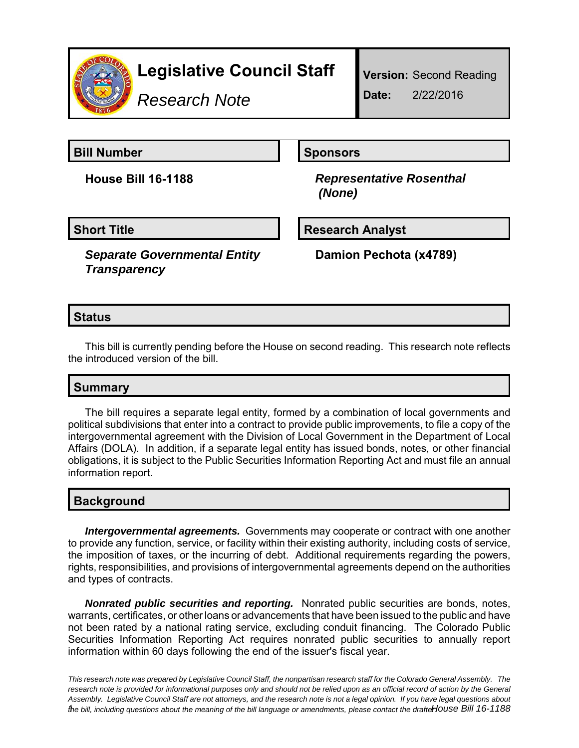

*Research Note*

**Bill Number Sponsors** 

**House Bill 16-1188** *Representative Rosenthal (None)*

*Separate Governmental Entity Transparency*

**Short Title Community Community Community Research Analyst** 

**Damion Pechota (x4789)**

# **Status**

This bill is currently pending before the House on second reading. This research note reflects the introduced version of the bill.

# **Summary**

The bill requires a separate legal entity, formed by a combination of local governments and political subdivisions that enter into a contract to provide public improvements, to file a copy of the intergovernmental agreement with the Division of Local Government in the Department of Local Affairs (DOLA). In addition, if a separate legal entity has issued bonds, notes, or other financial obligations, it is subject to the Public Securities Information Reporting Act and must file an annual information report.

## **Background**

*Intergovernmental agreements.* Governments may cooperate or contract with one another to provide any function, service, or facility within their existing authority, including costs of service, the imposition of taxes, or the incurring of debt. Additional requirements regarding the powers, rights, responsibilities, and provisions of intergovernmental agreements depend on the authorities and types of contracts.

*Nonrated public securities and reporting.* Nonrated public securities are bonds, notes, warrants, certificates, or other loans or advancements that have been issued to the public and have not been rated by a national rating service, excluding conduit financing. The Colorado Public Securities Information Reporting Act requires nonrated public securities to annually report information within 60 days following the end of the issuer's fiscal year.

*This research note was prepared by Legislative Council Staff, the nonpartisan research staff for the Colorado General Assembly. The research note is provided for informational purposes only and should not be relied upon as an official record of action by the General Assembly. Legislative Council Staff are not attorneys, and the research note is not a legal opinion. If you have legal questions about fhe bill, including questions about the meaning of the bill language or amendments, please contact the drafteHouse Bill 16-1188*